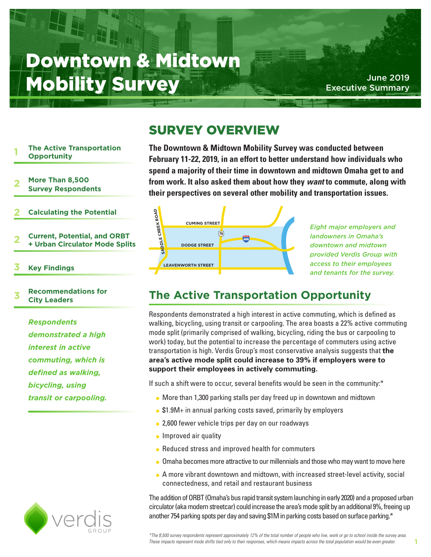# Downtown & Midtown Mobility Survey Mobility Assecutive Summary

Executive Summary

## SURVEY OVERVIEW

#### **The Active Transportation Opportunity 1**

- **More Than 8,500 2**
- **Survey Respondents**
- **Calculating the Potential 2**
- **Current, Potential, and ORBT + Urban Circulator Mode Splits 2**
- **Key Findings 3**

### **Recommendations for City Leaders 3**

*Respondents demonstrated a high interest in active commuting, which is defined as walking, bicycling, using transit or carpooling.*



**The Downtown & Midtown Mobility Survey was conducted between February 11-22, 2019, in an effort to better understand how individuals who spend a majority of their time in downtown and midtown Omaha get to and from work. It also asked them about how they** *want* **to commute, along with their perspectives on several other mobility and transportation issues.**



*Eight major employers and landowners in Omaha's downtown and midtown provided Verdis Group with access to their employees and tenants for the survey.*

**1**

## **The Active Transportation Opportunity**

Respondents demonstrated a high interest in active commuting, which is defined as walking, bicycling, using transit or carpooling. The area boasts a 22% active commuting mode split (primarily comprised of walking, bicycling, riding the bus or carpooling to work) today, but the potential to increase the percentage of commuters using active transportation is high. Verdis Group's most conservative analysis suggests that **the area's active mode split could increase to 39% if employers were to support their employees in actively commuting.**

If such a shift were to occur, several benefits would be seen in the community:\*

- More than 1,300 parking stalls per day freed up in downtown and midtown
- $\bullet$  \$1.9M+ in annual parking costs saved, primarily by employers
- 2,600 fewer vehicle trips per day on our roadways
- $\bullet$  Improved air quality
- Reduced stress and improved health for commuters
- Omaha becomes more attractive to our millennials and those who may want to move here
- A more vibrant downtown and midtown, with increased street-level activity, social connectedness, and retail and restaurant business

The addition of ORBT (Omaha's bus rapid transit system launching in early 2020) and a proposed urban circulator (aka modern streetcar) could increase the area's mode split by an additional 9%, freeing up another 754 parking spots per day and saving \$1M in parking costs based on surface parking.\*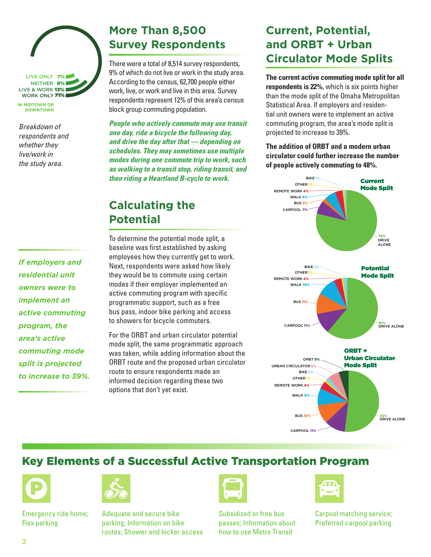

**IN MIDTOWN OR DOWNTOWN**

*Breakdown of respondents and whether they live/work in the study area.*

## **More Than 8,500 Survey Respondents**

There were a total of 8,514 survey respondents, 9% of which do not live or work in the study area. According to the census, 62,700 people either work, live, or work and live in this area. Survey respondents represent 12% of this area's census block group commuting population.

*People who actively commute may use transit one day, ride a bicycle the following day, and drive the day after that — depending on schedules. They may sometimes use multiple modes during one commute trip to work, such as walking to a transit stop, riding transit, and then riding a Heartland B-cycle to work.*

## **Calculating the Potential**

*If employers and residential unit owners were to implement an active commuting program, the area's active commuting mode split is projected to increase to 39%.*

To determine the potential mode split, a baseline was first established by asking employees how they currently get to work. Next, respondents were asked how likely they would be to commute using certain modes if their employer implemented an active commuting program with specific programmatic support, such as a free bus pass, indoor bike parking and access to showers for bicycle commuters.

For the ORBT and urban circulator potential mode split, the same programmatic approach was taken, while adding information about the ORBT route and the proposed urban circulator route to ensure respondents made an informed decision regarding these two options that don't yet exist.

## **Current, Potential, and ORBT + Urban Circulator Mode Splits**

**The current active commuting mode split for all respondents is 22%**, which is six points higher than the mode split of the Omaha Metropolitan Statistical Area. If employers and residential unit owners were to implement an active commuting program, the area's mode split is projected to increase to 39%.

**The addition of ORBT and a modern urban circulator could further increase the number of people actively commuting to 48%.**



### Key Elements of a Successful Active Transportation Program



Emergency ride home; Flex parking



Adequate and secure bike parking; Information on bike routes; Shower and locker access



Subsidized or free bus passes; Information about how to use Metro Transit



Carpool matching service; Preferred carpool parking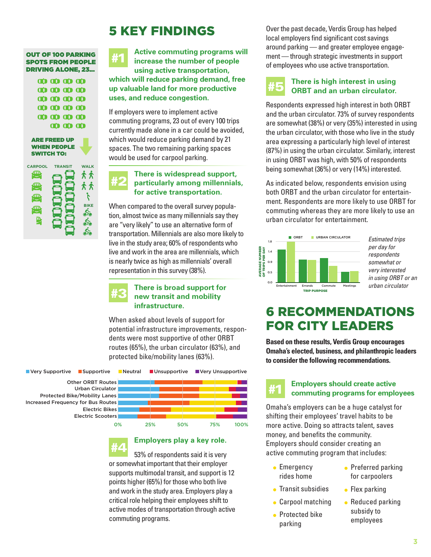## 5 KEY FINDINGS

| <b>OUT OF 100 PARKING</b> | #1 |
|---------------------------|----|
| <b>SPOTS FROM PEOPLE</b>  |    |
| <b>DRIVING ALONE, 23</b>  |    |

| 00 00 00 00                             |                           |  |
|-----------------------------------------|---------------------------|--|
| $\bullet$ $\bullet$ $\bullet$ $\bullet$ |                           |  |
| $\bf \omega$ $\bf \omega$ $\bf \omega$  |                           |  |
| $\bullet$ $\bullet$ $\bullet$ $\bullet$ |                           |  |
| $\bullet$ $\bullet$ $\bullet$ $\bullet$ |                           |  |
|                                         | $\bf \omega$ $\bf \omega$ |  |
|                                         |                           |  |

| <b>ARE FREED UP</b> |
|---------------------|
| <b>WHEN PEOPLE</b>  |
| SWITCH TO:          |



**Active commuting programs will increase the number of people using active transportation, which will reduce parking demand, free up valuable land for more productive uses, and reduce congestion.**

If employers were to implement active commuting programs, 23 out of every 100 trips currently made alone in a car could be avoided, which would reduce parking demand by 21 spaces. The two remaining parking spaces would be used for carpool parking.

### **There is widespread support, particularly among millennials, for active transportation.** #2

When compared to the overall survey population, almost twice as many millennials say they are "very likely" to use an alternative form of transportation. Millennials are also more likely to live in the study area; 60% of respondents who live and work in the area are millennials, which is nearly twice as high as millennials' overall representation in this survey (38%).

# #3

### **There is broad support for new transit and mobility infrastructure.**

When asked about levels of support for potential infrastructure improvements, respondents were most supportive of other ORBT routes (65%), the urban circulator (63%), and protected bike/mobility lanes (63%).

**Now Supportive Supportive Neutral Unsupportive Very Unsupportive** 

Other ORBT Routes Urban Circulator Protected Bike/Mobility Lanes Increased Frequency for Bus Routes Electric Bikes Electric Scooters



### **Employers play a key role.**

53% of respondents said it is very or somewhat important that their employer supports multimodal transit, and support is 12 points higher (65%) for those who both live and work in the study area. Employers play a critical role helping their employees shift to active modes of transportation through active commuting programs. #4

Over the past decade, Verdis Group has helped local employers find significant cost savings around parking — and greater employee engagement — through strategic investments in support of employees who use active transportation.

## #5

### **There is high interest in using ORBT and an urban circulator.**

Respondents expressed high interest in both ORBT and the urban circulator. 73% of survey respondents are somewhat (38%) or very (35%) interested in using the urban circulator, with those who live in the study area expressing a particularly high level of interest (87%) in using the urban circulator. Similarly, interest in using ORBT was high, with 50% of respondents being somewhat (36%) or very (14%) interested.

As indicated below, respondents envision using both ORBT and the urban circulator for entertainment. Respondents are more likely to use ORBT for commuting whereas they are more likely to use an urban circulator for entertainment.



*Estimated trips per day for respondents somewhat or very interested in using ORBT or an urban circulator*

## 6 RECOMMENDATIONS FOR CITY LEADERS

**Based on these results, Verdis Group encourages Omaha's elected, business, and philanthropic leaders to consider the following recommendations.**



### **Employers should create active commuting programs for employees**

Omaha's employers can be a huge catalyst for shifting their employees' travel habits to be more active. Doing so attracts talent, saves money, and benefits the community. Employers should consider creating an active commuting program that includes:

- $\bullet$  Emergency rides home
- Transit subsidies
- Carpool matching
- Protected bike parking
- Preferred parking for carpoolers
- $\bullet$  Flex parking
- Reduced parking subsidy to employees